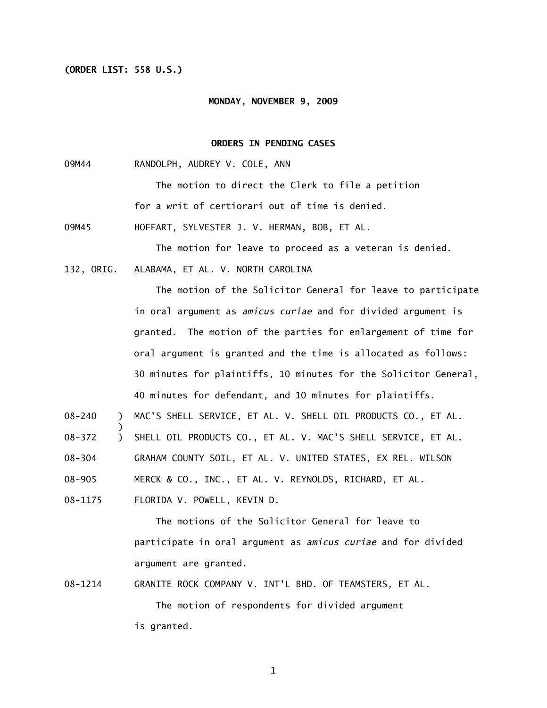## **(ORDER LIST: 558 U.S.)**

#### **MONDAY, NOVEMBER 9, 2009**

## **ORDERS IN PENDING CASES**

09M44 RANDOLPH, AUDREY V. COLE, ANN

The motion to direct the Clerk to file a petition for a writ of certiorari out of time is denied.

09M45 HOFFART, SYLVESTER J. V. HERMAN, BOB, ET AL.

The motion for leave to proceed as a veteran is denied.

132, ORIG. ALABAMA, ET AL. V. NORTH CAROLINA

The motion of the Solicitor General for leave to participate in oral argument as *amicus curiae* and for divided argument is granted. The motion of the parties for enlargement of time for oral argument is granted and the time is allocated as follows: 30 minutes for plaintiffs, 10 minutes for the Solicitor General, 40 minutes for defendant, and 10 minutes for plaintiffs.

08-240 ) MAC'S SHELL SERVICE, ET AL. V. SHELL OIL PRODUCTS CO., ET AL.

08-372 ) SHELL OIL PRODUCTS CO., ET AL. V. MAC'S SHELL SERVICE, ET AL.

08-304 GRAHAM COUNTY SOIL, ET AL. V. UNITED STATES, EX REL. WILSON

08-905 MERCK & CO., INC., ET AL. V. REYNOLDS, RICHARD, ET AL.

08-1175 FLORIDA V. POWELL, KEVIN D.

)

 The motions of the Solicitor General for leave to participate in oral argument as *amicus curiae* and for divided argument are granted.

08-1214 GRANITE ROCK COMPANY V. INT'L BHD. OF TEAMSTERS, ET AL. The motion of respondents for divided argument is granted.

1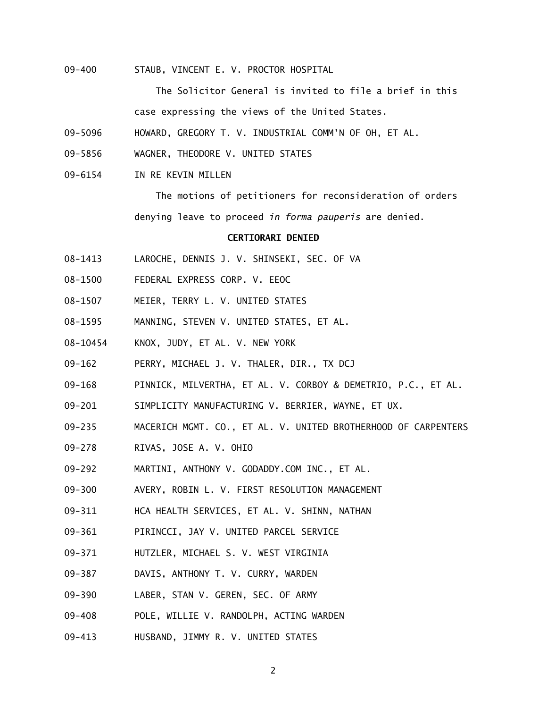09-400 STAUB, VINCENT E. V. PROCTOR HOSPITAL

 The Solicitor General is invited to file a brief in this case expressing the views of the United States.

- 09-5096 HOWARD, GREGORY T. V. INDUSTRIAL COMM'N OF OH, ET AL.
- 09-5856 WAGNER, THEODORE V. UNITED STATES
- 09-6154 IN RE KEVIN MILLEN

 The motions of petitioners for reconsideration of orders denying leave to proceed *in forma pauperis* are denied.

## **CERTIORARI DENIED**

- 08-1413 LAROCHE, DENNIS J. V. SHINSEKI, SEC. OF VA
- 08-1500 FEDERAL EXPRESS CORP. V. EEOC
- 08-1507 MEIER, TERRY L. V. UNITED STATES
- 08-1595 MANNING, STEVEN V. UNITED STATES, ET AL.
- 08-10454 KNOX, JUDY, ET AL. V. NEW YORK
- 09-162 PERRY, MICHAEL J. V. THALER, DIR., TX DCJ
- 09-168 PINNICK, MILVERTHA, ET AL. V. CORBOY & DEMETRIO, P.C., ET AL.
- 09-201 SIMPLICITY MANUFACTURING V. BERRIER, WAYNE, ET UX.
- 09-235 MACERICH MGMT. CO., ET AL. V. UNITED BROTHERHOOD OF CARPENTERS
- 09-278 RIVAS, JOSE A. V. OHIO
- 09-292 MARTINI, ANTHONY V. GODADDY.COM INC., ET AL.
- 09-300 AVERY, ROBIN L. V. FIRST RESOLUTION MANAGEMENT
- 09-311 HCA HEALTH SERVICES, ET AL. V. SHINN, NATHAN
- 09-361 PIRINCCI, JAY V. UNITED PARCEL SERVICE
- 09-371 HUTZLER, MICHAEL S. V. WEST VIRGINIA
- 09-387 DAVIS, ANTHONY T. V. CURRY, WARDEN
- 09-390 LABER, STAN V. GEREN, SEC. OF ARMY
- 09-408 POLE, WILLIE V. RANDOLPH, ACTING WARDEN
- 09-413 HUSBAND, JIMMY R. V. UNITED STATES

2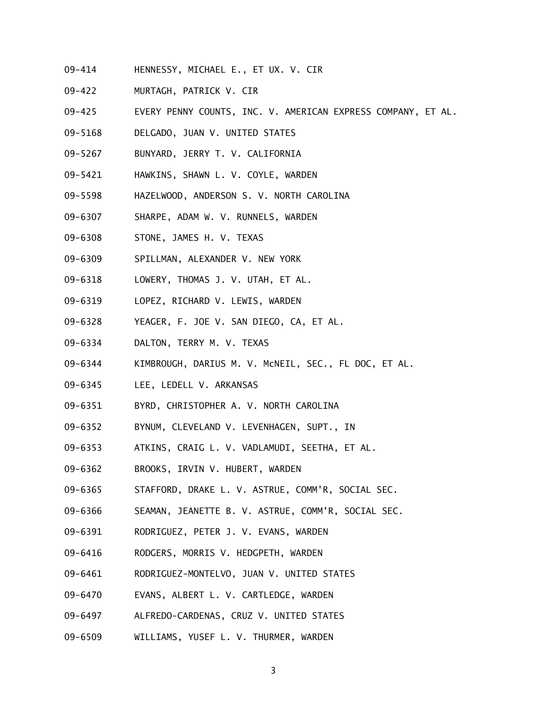- 09-414 HENNESSY, MICHAEL E., ET UX. V. CIR
- 09-422 MURTAGH, PATRICK V. CIR
- 09-425 EVERY PENNY COUNTS, INC. V. AMERICAN EXPRESS COMPANY, ET AL.
- 09-5168 DELGADO, JUAN V. UNITED STATES
- 09-5267 BUNYARD, JERRY T. V. CALIFORNIA
- 09-5421 HAWKINS, SHAWN L. V. COYLE, WARDEN
- 09-5598 HAZELWOOD, ANDERSON S. V. NORTH CAROLINA
- 09-6307 SHARPE, ADAM W. V. RUNNELS, WARDEN
- 09-6308 STONE, JAMES H. V. TEXAS
- 09-6309 SPILLMAN, ALEXANDER V. NEW YORK
- 09-6318 LOWERY, THOMAS J. V. UTAH, ET AL.
- 09-6319 LOPEZ, RICHARD V. LEWIS, WARDEN
- 09-6328 YEAGER, F. JOE V. SAN DIEGO, CA, ET AL.
- 09-6334 DALTON, TERRY M. V. TEXAS
- 09-6344 KIMBROUGH, DARIUS M. V. McNEIL, SEC., FL DOC, ET AL.
- 09-6345 LEE, LEDELL V. ARKANSAS
- 09-6351 BYRD, CHRISTOPHER A. V. NORTH CAROLINA
- 09-6352 BYNUM, CLEVELAND V. LEVENHAGEN, SUPT., IN
- 09-6353 ATKINS, CRAIG L. V. VADLAMUDI, SEETHA, ET AL.
- 09-6362 BROOKS, IRVIN V. HUBERT, WARDEN
- 09-6365 STAFFORD, DRAKE L. V. ASTRUE, COMM'R, SOCIAL SEC.
- 09-6366 SEAMAN, JEANETTE B. V. ASTRUE, COMM'R, SOCIAL SEC.
- 09-6391 RODRIGUEZ, PETER J. V. EVANS, WARDEN
- 09-6416 RODGERS, MORRIS V. HEDGPETH, WARDEN
- 09-6461 RODRIGUEZ-MONTELVO, JUAN V. UNITED STATES
- 09-6470 EVANS, ALBERT L. V. CARTLEDGE, WARDEN
- 09-6497 ALFREDO-CARDENAS, CRUZ V. UNITED STATES
- 09-6509 WILLIAMS, YUSEF L. V. THURMER, WARDEN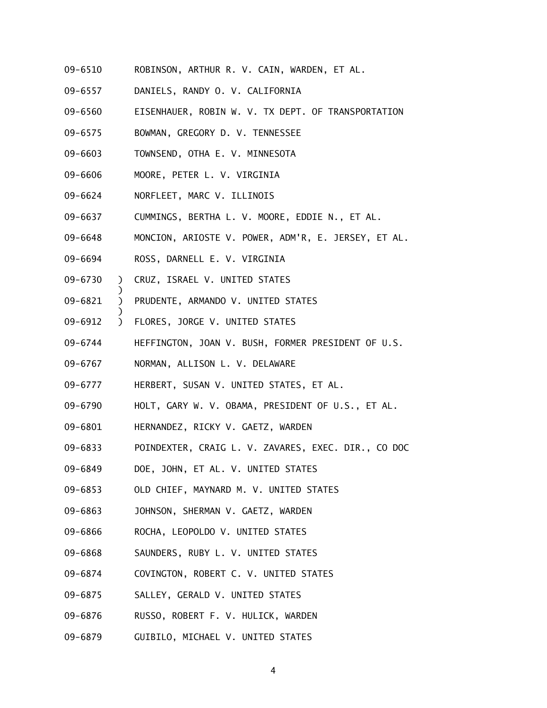- 09-6510 ROBINSON, ARTHUR R. V. CAIN, WARDEN, ET AL.
- 09-6557 DANIELS, RANDY O. V. CALIFORNIA
- 09-6560 EISENHAUER, ROBIN W. V. TX DEPT. OF TRANSPORTATION
- 09-6575 BOWMAN, GREGORY D. V. TENNESSEE
- 09-6603 TOWNSEND, OTHA E. V. MINNESOTA
- 09-6606 MOORE, PETER L. V. VIRGINIA
- 09-6624 NORFLEET, MARC V. ILLINOIS
- 09-6637 CUMMINGS, BERTHA L. V. MOORE, EDDIE N., ET AL.
- 09-6648 MONCION, ARIOSTE V. POWER, ADM'R, E. JERSEY, ET AL.
- 09-6694 ROSS, DARNELL E. V. VIRGINIA
- 09-6730 ) CRUZ, ISRAEL V. UNITED STATES

)

)

- 09-6821 ) PRUDENTE, ARMANDO V. UNITED STATES
- 09-6912 ) FLORES, JORGE V. UNITED STATES
- 09-6744 HEFFINGTON, JOAN V. BUSH, FORMER PRESIDENT OF U.S.
- 09-6767 NORMAN, ALLISON L. V. DELAWARE
- 09-6777 HERBERT, SUSAN V. UNITED STATES, ET AL.
- 09-6790 HOLT, GARY W. V. OBAMA, PRESIDENT OF U.S., ET AL.
- 09-6801 HERNANDEZ, RICKY V. GAETZ, WARDEN
- 09-6833 POINDEXTER, CRAIG L. V. ZAVARES, EXEC. DIR., CO DOC
- 09-6849 DOE, JOHN, ET AL. V. UNITED STATES
- 09-6853 OLD CHIEF, MAYNARD M. V. UNITED STATES
- 09-6863 JOHNSON, SHERMAN V. GAETZ, WARDEN
- 09-6866 ROCHA, LEOPOLDO V. UNITED STATES
- 09-6868 SAUNDERS, RUBY L. V. UNITED STATES
- 09-6874 COVINGTON, ROBERT C. V. UNITED STATES
- 09-6875 SALLEY, GERALD V. UNITED STATES
- 09-6876 RUSSO, ROBERT F. V. HULICK, WARDEN
- 09-6879 GUIBILO, MICHAEL V. UNITED STATES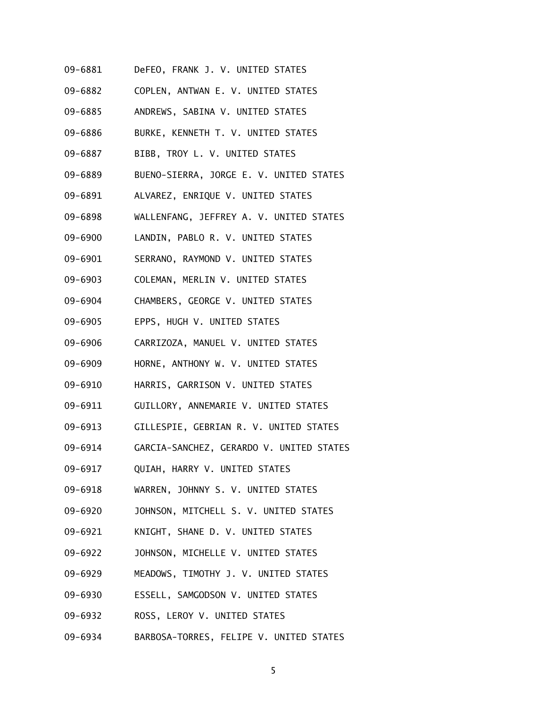- 09-6881 DeFEO, FRANK J. V. UNITED STATES
- 09-6882 COPLEN, ANTWAN E. V. UNITED STATES
- 09-6885 ANDREWS, SABINA V. UNITED STATES
- 09-6886 BURKE, KENNETH T. V. UNITED STATES
- 09-6887 BIBB, TROY L. V. UNITED STATES
- 09-6889 BUENO-SIERRA, JORGE E. V. UNITED STATES
- 09-6891 ALVAREZ, ENRIQUE V. UNITED STATES
- 09-6898 WALLENFANG, JEFFREY A. V. UNITED STATES
- 09-6900 LANDIN, PABLO R. V. UNITED STATES
- 09-6901 SERRANO, RAYMOND V. UNITED STATES
- 09-6903 COLEMAN, MERLIN V. UNITED STATES
- 09-6904 CHAMBERS, GEORGE V. UNITED STATES
- 09-6905 EPPS, HUGH V. UNITED STATES
- 09-6906 CARRIZOZA, MANUEL V. UNITED STATES
- 09-6909 HORNE, ANTHONY W. V. UNITED STATES
- 09-6910 HARRIS, GARRISON V. UNITED STATES
- 09-6911 GUILLORY, ANNEMARIE V. UNITED STATES
- 09-6913 GILLESPIE, GEBRIAN R. V. UNITED STATES
- 09-6914 GARCIA-SANCHEZ, GERARDO V. UNITED STATES
- 09-6917 QUIAH, HARRY V. UNITED STATES
- 09-6918 WARREN, JOHNNY S. V. UNITED STATES
- 09-6920 JOHNSON, MITCHELL S. V. UNITED STATES
- 09-6921 KNIGHT, SHANE D. V. UNITED STATES
- 09-6922 JOHNSON, MICHELLE V. UNITED STATES
- 09-6929 MEADOWS, TIMOTHY J. V. UNITED STATES
- 09-6930 ESSELL, SAMGODSON V. UNITED STATES
- 09-6932 ROSS, LEROY V. UNITED STATES
- 09-6934 BARBOSA-TORRES, FELIPE V. UNITED STATES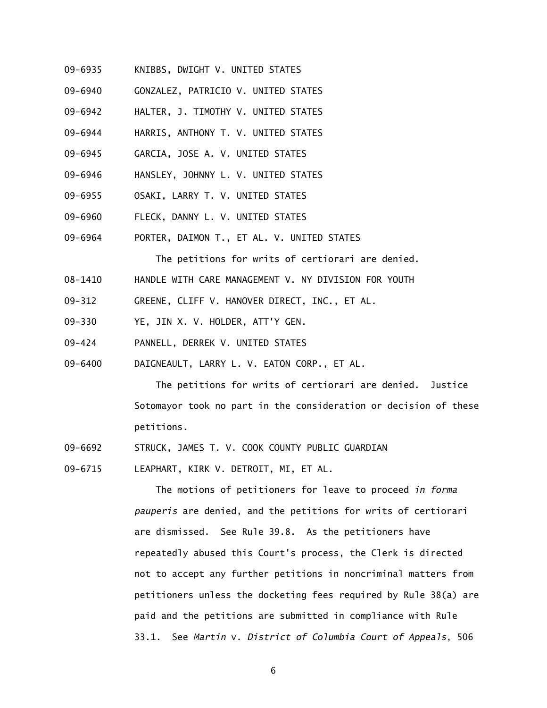- 09-6935 KNIBBS, DWIGHT V. UNITED STATES
- 09-6940 GONZALEZ, PATRICIO V. UNITED STATES
- 09-6942 HALTER, J. TIMOTHY V. UNITED STATES
- 09-6944 HARRIS, ANTHONY T. V. UNITED STATES
- 09-6945 GARCIA, JOSE A. V. UNITED STATES
- 09-6946 HANSLEY, JOHNNY L. V. UNITED STATES
- 09-6955 OSAKI, LARRY T. V. UNITED STATES
- 09-6960 FLECK, DANNY L. V. UNITED STATES
- 09-6964 PORTER, DAIMON T., ET AL. V. UNITED STATES

The petitions for writs of certiorari are denied.

- 08-1410 HANDLE WITH CARE MANAGEMENT V. NY DIVISION FOR YOUTH
- 09-312 GREENE, CLIFF V. HANOVER DIRECT, INC., ET AL.
- 09-330 YE, JIN X. V. HOLDER, ATT'Y GEN.
- 09-424 PANNELL, DERREK V. UNITED STATES
- 09-6400 DAIGNEAULT, LARRY L. V. EATON CORP., ET AL.

 The petitions for writs of certiorari are denied. Justice Sotomayor took no part in the consideration or decision of these petitions.

- 09-6692 STRUCK, JAMES T. V. COOK COUNTY PUBLIC GUARDIAN
- 09-6715 LEAPHART, KIRK V. DETROIT, MI, ET AL.

 The motions of petitioners for leave to proceed *in forma pauperis* are denied, and the petitions for writs of certiorari are dismissed. See Rule 39.8. As the petitioners have repeatedly abused this Court's process, the Clerk is directed not to accept any further petitions in noncriminal matters from petitioners unless the docketing fees required by Rule 38(a) are paid and the petitions are submitted in compliance with Rule 33.1. See *Martin* v. *District of Columbia Court of Appeals*, 506

6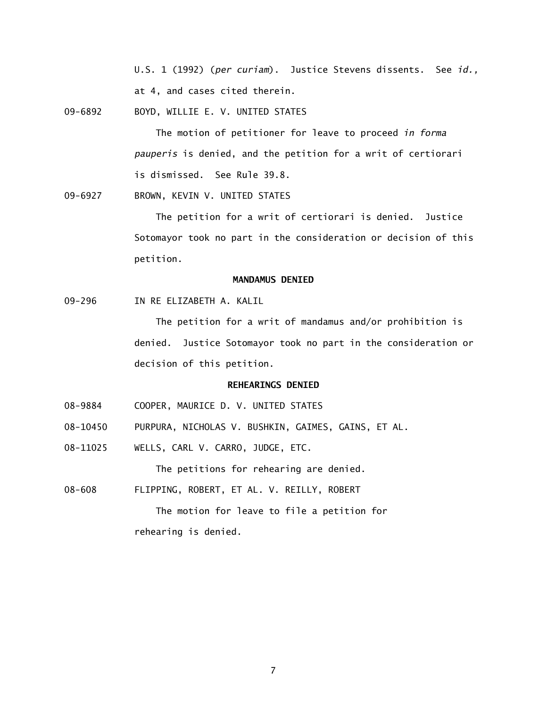U.S. 1 (1992) (*per curiam*). Justice Stevens dissents. See *id.,*  at 4, and cases cited therein.

09-6892 BOYD, WILLIE E. V. UNITED STATES

 The motion of petitioner for leave to proceed *in forma pauperis* is denied, and the petition for a writ of certiorari is dismissed. See Rule 39.8.

09-6927 BROWN, KEVIN V. UNITED STATES

 The petition for a writ of certiorari is denied. Justice Sotomayor took no part in the consideration or decision of this petition.

## **MANDAMUS DENIED**

09-296 IN RE ELIZABETH A. KALIL

 The petition for a writ of mandamus and/or prohibition is denied. Justice Sotomayor took no part in the consideration or decision of this petition.

## **REHEARINGS DENIED**

- 08-9884 COOPER, MAURICE D. V. UNITED STATES
- 08-10450 PURPURA, NICHOLAS V. BUSHKIN, GAIMES, GAINS, ET AL.
- 08-11025 WELLS, CARL V. CARRO, JUDGE, ETC.

The petitions for rehearing are denied.

08-608 FLIPPING, ROBERT, ET AL. V. REILLY, ROBERT

 The motion for leave to file a petition for rehearing is denied.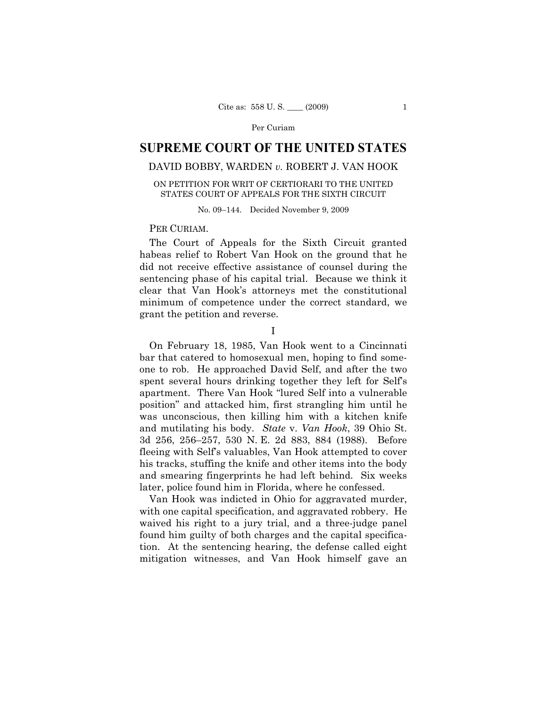# **SUPREME COURT OF THE UNITED STATES**

# DAVID BOBBY, WARDEN *v.* ROBERT J. VAN HOOK

## ON PETITION FOR WRIT OF CERTIORARI TO THE UNITED STATES COURT OF APPEALS FOR THE SIXTH CIRCUIT

No. 09–144. Decided November 9, 2009

## PER CURIAM.

The Court of Appeals for the Sixth Circuit granted habeas relief to Robert Van Hook on the ground that he did not receive effective assistance of counsel during the sentencing phase of his capital trial. Because we think it clear that Van Hook's attorneys met the constitutional minimum of competence under the correct standard, we grant the petition and reverse.

I

On February 18, 1985, Van Hook went to a Cincinnati bar that catered to homosexual men, hoping to find someone to rob. He approached David Self, and after the two spent several hours drinking together they left for Self's apartment. There Van Hook "lured Self into a vulnerable position" and attacked him, first strangling him until he was unconscious, then killing him with a kitchen knife and mutilating his body. *State* v. *Van Hook*, 39 Ohio St. 3d 256, 256–257, 530 N. E. 2d 883, 884 (1988). Before fleeing with Self's valuables, Van Hook attempted to cover his tracks, stuffing the knife and other items into the body and smearing fingerprints he had left behind. Six weeks later, police found him in Florida, where he confessed.

Van Hook was indicted in Ohio for aggravated murder, with one capital specification, and aggravated robbery. He waived his right to a jury trial, and a three-judge panel found him guilty of both charges and the capital specification. At the sentencing hearing, the defense called eight mitigation witnesses, and Van Hook himself gave an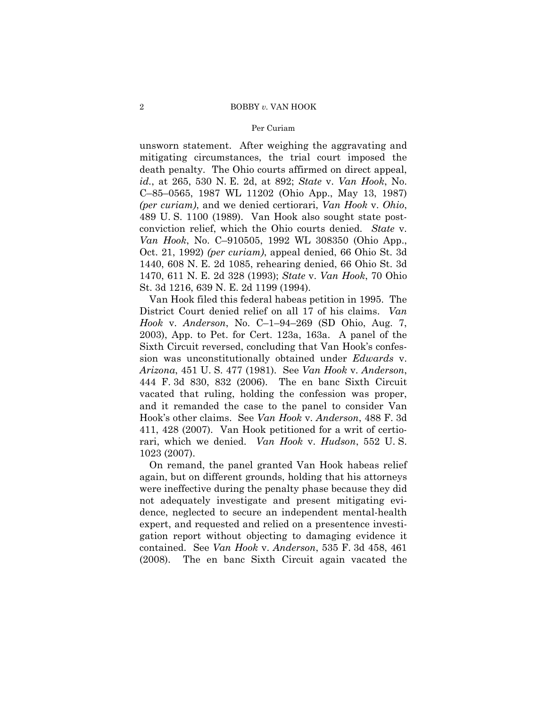unsworn statement. After weighing the aggravating and mitigating circumstances, the trial court imposed the death penalty. The Ohio courts affirmed on direct appeal, *id.*, at 265, 530 N. E. 2d, at 892; *State* v. *Van Hook*, No. C–85–0565, 1987 WL 11202 (Ohio App., May 13, 1987) *(per curiam)*, and we denied certiorari, *Van Hook* v. *Ohio*, 489 U. S. 1100 (1989). Van Hook also sought state postconviction relief, which the Ohio courts denied. *State* v. *Van Hook*, No. C–910505, 1992 WL 308350 (Ohio App., Oct. 21, 1992) *(per curiam)*, appeal denied, 66 Ohio St. 3d 1440, 608 N. E. 2d 1085, rehearing denied, 66 Ohio St. 3d 1470, 611 N. E. 2d 328 (1993); *State* v. *Van Hook*, 70 Ohio St. 3d 1216, 639 N. E. 2d 1199 (1994).

Van Hook filed this federal habeas petition in 1995. The District Court denied relief on all 17 of his claims. *Van Hook* v. *Anderson*, No. C–1–94–269 (SD Ohio, Aug. 7, 2003), App. to Pet. for Cert. 123a, 163a. A panel of the Sixth Circuit reversed, concluding that Van Hook's confession was unconstitutionally obtained under *Edwards* v. *Arizona*, 451 U. S. 477 (1981). See *Van Hook* v. *Anderson*, 444 F. 3d 830, 832 (2006). The en banc Sixth Circuit vacated that ruling, holding the confession was proper, and it remanded the case to the panel to consider Van Hook's other claims. See *Van Hook* v. *Anderson*, 488 F. 3d 411, 428 (2007). Van Hook petitioned for a writ of certiorari, which we denied. *Van Hook* v. *Hudson*, 552 U. S. 1023 (2007).

On remand, the panel granted Van Hook habeas relief again, but on different grounds, holding that his attorneys were ineffective during the penalty phase because they did not adequately investigate and present mitigating evidence, neglected to secure an independent mental-health expert, and requested and relied on a presentence investigation report without objecting to damaging evidence it contained. See *Van Hook* v. *Anderson*, 535 F. 3d 458, 461 (2008). The en banc Sixth Circuit again vacated the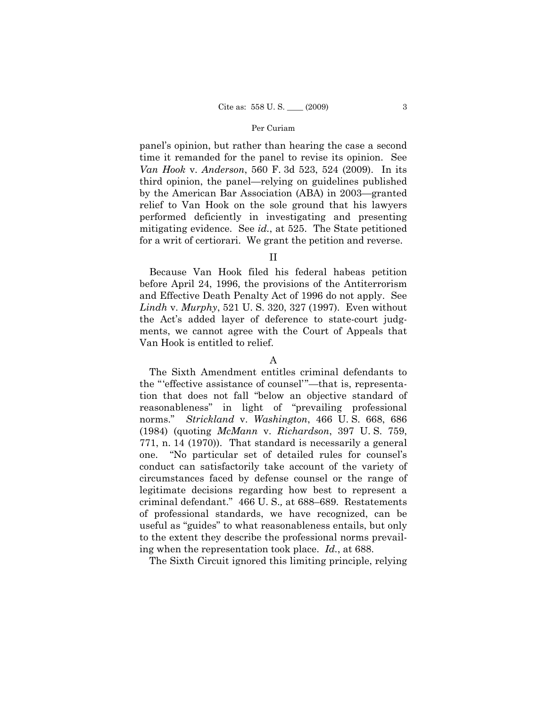panel's opinion, but rather than hearing the case a second time it remanded for the panel to revise its opinion. See *Van Hook* v. *Anderson*, 560 F. 3d 523, 524 (2009). In its third opinion, the panel—relying on guidelines published by the American Bar Association (ABA) in 2003—granted relief to Van Hook on the sole ground that his lawyers performed deficiently in investigating and presenting mitigating evidence. See *id.*, at 525. The State petitioned for a writ of certiorari. We grant the petition and reverse.

II

Because Van Hook filed his federal habeas petition before April 24, 1996, the provisions of the Antiterrorism and Effective Death Penalty Act of 1996 do not apply. See *Lindh* v. *Murphy*, 521 U. S. 320, 327 (1997). Even without the Act's added layer of deference to state-court judgments, we cannot agree with the Court of Appeals that Van Hook is entitled to relief.

The Sixth Amendment entitles criminal defendants to the "'effective assistance of counsel'"—that is, representation that does not fall "below an objective standard of reasonableness" in light of "prevailing professional norms." *Strickland* v. *Washington*, 466 U. S. 668, 686 (1984) (quoting *McMann* v. *Richardson*, 397 U. S. 759, 771, n. 14 (1970)). That standard is necessarily a general one. "No particular set of detailed rules for counsel's conduct can satisfactorily take account of the variety of circumstances faced by defense counsel or the range of legitimate decisions regarding how best to represent a criminal defendant." 466 U. S.*,* at 688–689. Restatements of professional standards, we have recognized, can be useful as "guides" to what reasonableness entails, but only to the extent they describe the professional norms prevailing when the representation took place. *Id.*, at 688.

The Sixth Circuit ignored this limiting principle, relying

A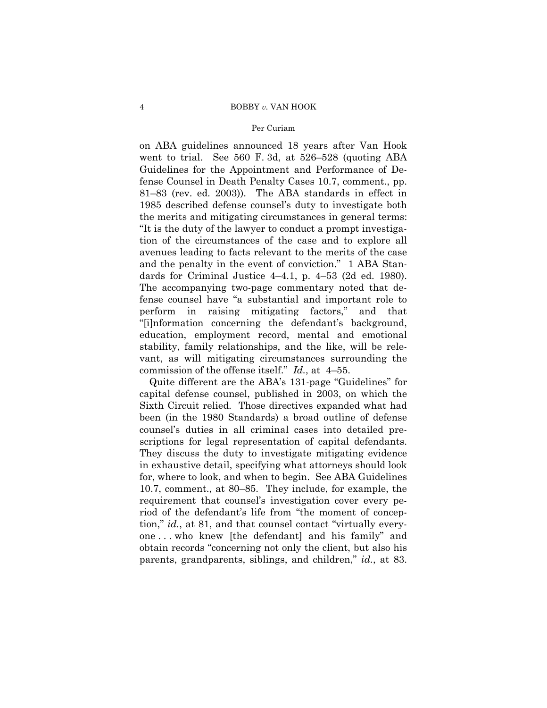#### 4 BOBBY *v.* VAN HOOK

## Per Curiam

on ABA guidelines announced 18 years after Van Hook went to trial. See 560 F. 3d, at 526–528 (quoting ABA Guidelines for the Appointment and Performance of Defense Counsel in Death Penalty Cases 10.7, comment., pp. 81–83 (rev. ed. 2003)). The ABA standards in effect in 1985 described defense counsel's duty to investigate both the merits and mitigating circumstances in general terms: "It is the duty of the lawyer to conduct a prompt investigation of the circumstances of the case and to explore all avenues leading to facts relevant to the merits of the case and the penalty in the event of conviction." 1 ABA Standards for Criminal Justice 4–4.1, p. 4–53 (2d ed. 1980). The accompanying two-page commentary noted that defense counsel have "a substantial and important role to perform in raising mitigating factors," and that "[i]nformation concerning the defendant's background, education, employment record, mental and emotional stability, family relationships, and the like, will be relevant, as will mitigating circumstances surrounding the commission of the offense itself." *Id.*, at 4–55.

Quite different are the ABA's 131-page "Guidelines" for capital defense counsel, published in 2003, on which the Sixth Circuit relied. Those directives expanded what had been (in the 1980 Standards) a broad outline of defense counsel's duties in all criminal cases into detailed prescriptions for legal representation of capital defendants. They discuss the duty to investigate mitigating evidence in exhaustive detail, specifying what attorneys should look for, where to look, and when to begin. See ABA Guidelines 10.7, comment., at 80–85. They include, for example, the requirement that counsel's investigation cover every period of the defendant's life from "the moment of conception," *id.*, at 81, and that counsel contact "virtually everyone . . . who knew [the defendant] and his family" and obtain records "concerning not only the client, but also his parents, grandparents, siblings, and children," *id.*, at 83.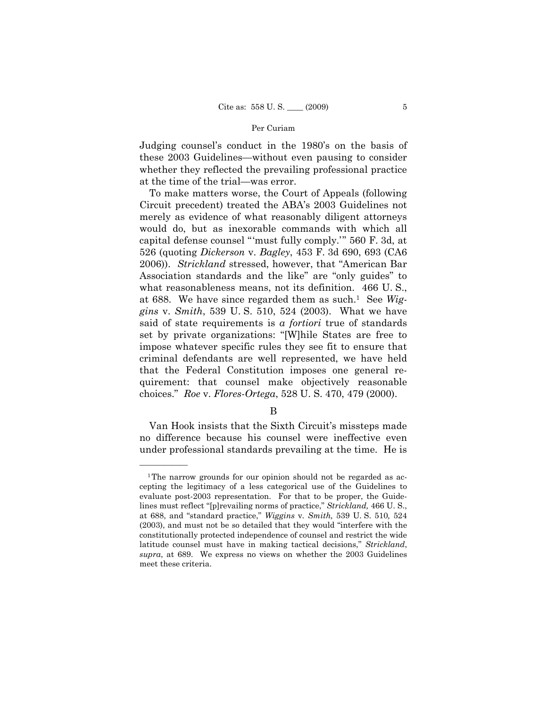Judging counsel's conduct in the 1980's on the basis of these 2003 Guidelines—without even pausing to consider whether they reflected the prevailing professional practice at the time of the trial—was error.

To make matters worse, the Court of Appeals (following Circuit precedent) treated the ABA's 2003 Guidelines not merely as evidence of what reasonably diligent attorneys would do, but as inexorable commands with which all capital defense counsel "'must fully comply.'" 560 F. 3d, at 526 (quoting *Dickerson* v. *Bagley*, 453 F. 3d 690, 693 (CA6 2006)). *Strickland* stressed, however, that "American Bar Association standards and the like" are "only guides" to what reasonableness means, not its definition. 466 U. S., at 688. We have since regarded them as such.1 See *Wiggins* v. *Smith*, 539 U. S. 510, 524 (2003). What we have said of state requirements is *a fortiori* true of standards set by private organizations: "[W]hile States are free to impose whatever specific rules they see fit to ensure that criminal defendants are well represented, we have held that the Federal Constitution imposes one general requirement: that counsel make objectively reasonable choices." *Roe* v. *Flores-Ortega*, 528 U. S. 470, 479 (2000).

B

Van Hook insists that the Sixth Circuit's missteps made no difference because his counsel were ineffective even under professional standards prevailing at the time. He is

——————

<sup>&</sup>lt;sup>1</sup>The narrow grounds for our opinion should not be regarded as accepting the legitimacy of a less categorical use of the Guidelines to evaluate post-2003 representation. For that to be proper, the Guidelines must reflect "[p]revailing norms of practice," *Strickland,* 466 U. S., at 688, and "standard practice," *Wiggins* v*. Smith,* 539 U. S. 510*,* 524 (2003), and must not be so detailed that they would "interfere with the constitutionally protected independence of counsel and restrict the wide latitude counsel must have in making tactical decisions," *Strickland*, *supra*, at 689. We express no views on whether the 2003 Guidelines meet these criteria.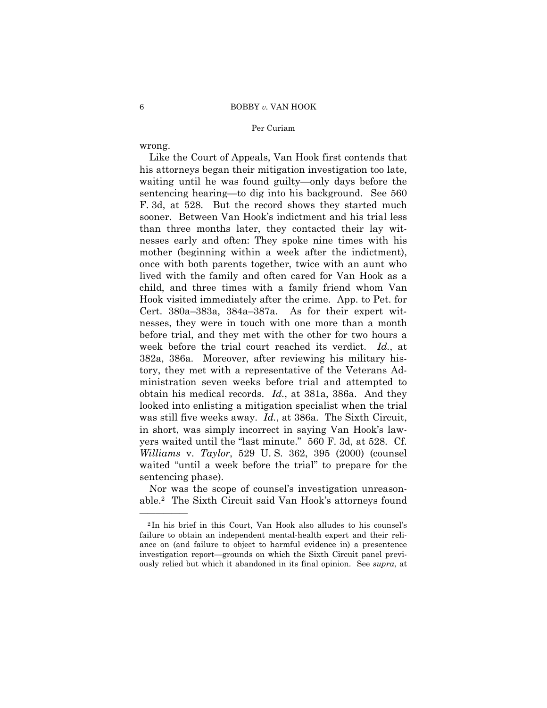wrong.

——————

Like the Court of Appeals, Van Hook first contends that his attorneys began their mitigation investigation too late, waiting until he was found guilty—only days before the sentencing hearing—to dig into his background. See 560 F. 3d, at 528. But the record shows they started much sooner. Between Van Hook's indictment and his trial less than three months later, they contacted their lay witnesses early and often: They spoke nine times with his mother (beginning within a week after the indictment), once with both parents together, twice with an aunt who lived with the family and often cared for Van Hook as a child, and three times with a family friend whom Van Hook visited immediately after the crime. App. to Pet. for Cert. 380a–383a, 384a–387a. As for their expert witnesses, they were in touch with one more than a month before trial, and they met with the other for two hours a week before the trial court reached its verdict. *Id.*, at 382a, 386a. Moreover, after reviewing his military history, they met with a representative of the Veterans Administration seven weeks before trial and attempted to obtain his medical records. *Id.*, at 381a, 386a. And they looked into enlisting a mitigation specialist when the trial was still five weeks away. *Id.*, at 386a. The Sixth Circuit, in short, was simply incorrect in saying Van Hook's lawyers waited until the "last minute." 560 F. 3d, at 528. Cf. *Williams* v. *Taylor*, 529 U. S. 362, 395 (2000) (counsel waited "until a week before the trial" to prepare for the sentencing phase).

Nor was the scope of counsel's investigation unreasonable.2 The Sixth Circuit said Van Hook's attorneys found

<sup>2</sup> In his brief in this Court, Van Hook also alludes to his counsel's failure to obtain an independent mental-health expert and their reliance on (and failure to object to harmful evidence in) a presentence investigation report—grounds on which the Sixth Circuit panel previously relied but which it abandoned in its final opinion. See *supra*, at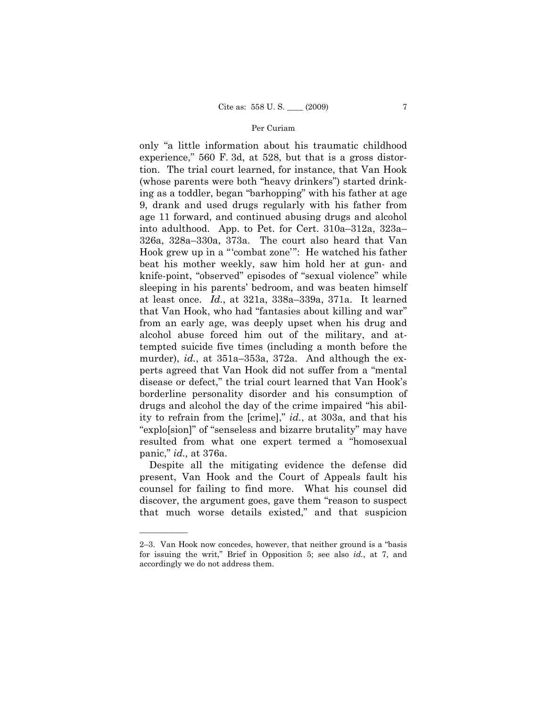only "a little information about his traumatic childhood experience," 560 F. 3d, at 528, but that is a gross distortion. The trial court learned, for instance, that Van Hook (whose parents were both "heavy drinkers") started drinking as a toddler, began "barhopping" with his father at age 9, drank and used drugs regularly with his father from age 11 forward, and continued abusing drugs and alcohol into adulthood. App. to Pet. for Cert. 310a–312a, 323a– 326a, 328a–330a, 373a. The court also heard that Van Hook grew up in a "'combat zone'": He watched his father beat his mother weekly, saw him hold her at gun- and knife-point, "observed" episodes of "sexual violence" while sleeping in his parents' bedroom, and was beaten himself at least once. *Id.*, at 321a, 338a–339a, 371a. It learned that Van Hook, who had "fantasies about killing and war" from an early age, was deeply upset when his drug and alcohol abuse forced him out of the military, and attempted suicide five times (including a month before the murder), *id.*, at 351a–353a, 372a. And although the experts agreed that Van Hook did not suffer from a "mental disease or defect," the trial court learned that Van Hook's borderline personality disorder and his consumption of drugs and alcohol the day of the crime impaired "his ability to refrain from the [crime]," *id.*, at 303a, and that his "explo[sion]" of "senseless and bizarre brutality" may have resulted from what one expert termed a "homosexual panic," *id.,* at 376a.

Despite all the mitigating evidence the defense did present, Van Hook and the Court of Appeals fault his counsel for failing to find more. What his counsel did discover, the argument goes, gave them "reason to suspect that much worse details existed," and that suspicion

——————

<sup>2–3.</sup> Van Hook now concedes, however, that neither ground is a "basis for issuing the writ," Brief in Opposition 5; see also *id.*, at 7, and accordingly we do not address them.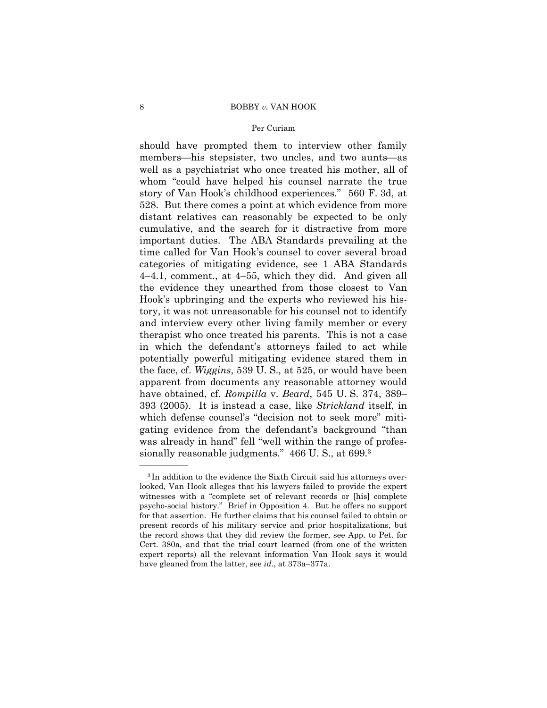should have prompted them to interview other family members—his stepsister, two uncles, and two aunts—as well as a psychiatrist who once treated his mother, all of whom "could have helped his counsel narrate the true story of Van Hook's childhood experiences." 560 F. 3d, at 528. But there comes a point at which evidence from more distant relatives can reasonably be expected to be only cumulative, and the search for it distractive from more important duties. The ABA Standards prevailing at the time called for Van Hook's counsel to cover several broad categories of mitigating evidence, see 1 ABA Standards 4–4.1, comment., at 4–55, which they did. And given all the evidence they unearthed from those closest to Van Hook's upbringing and the experts who reviewed his history, it was not unreasonable for his counsel not to identify and interview every other living family member or every therapist who once treated his parents. This is not a case in which the defendant's attorneys failed to act while potentially powerful mitigating evidence stared them in the face, cf. *Wiggins*, 539 U. S., at 525, or would have been apparent from documents any reasonable attorney would have obtained, cf. *Rompilla* v. *Beard*, 545 U. S. 374, 389– 393 (2005). It is instead a case, like *Strickland* itself, in which defense counsel's "decision not to seek more" mitigating evidence from the defendant's background "than was already in hand" fell "well within the range of professionally reasonable judgments." 466 U. S., at 699.3

——————

<sup>3</sup> In addition to the evidence the Sixth Circuit said his attorneys overlooked, Van Hook alleges that his lawyers failed to provide the expert witnesses with a "complete set of relevant records or [his] complete psycho-social history." Brief in Opposition 4. But he offers no support for that assertion. He further claims that his counsel failed to obtain or present records of his military service and prior hospitalizations, but the record shows that they did review the former, see App. to Pet. for Cert. 380a, and that the trial court learned (from one of the written expert reports) all the relevant information Van Hook says it would have gleaned from the latter, see *id.*, at 373a–377a.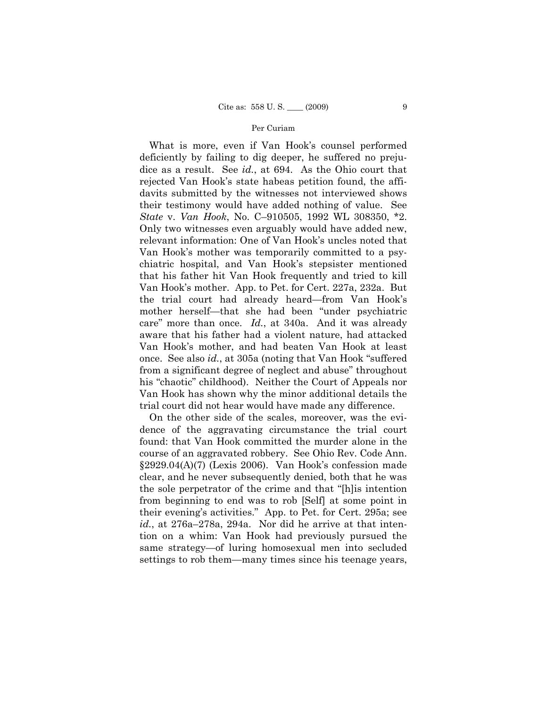What is more, even if Van Hook's counsel performed deficiently by failing to dig deeper, he suffered no prejudice as a result. See *id.*, at 694. As the Ohio court that rejected Van Hook's state habeas petition found, the affidavits submitted by the witnesses not interviewed shows their testimony would have added nothing of value. See *State* v. *Van Hook*, No. C–910505, 1992 WL 308350, \*2. Only two witnesses even arguably would have added new, relevant information: One of Van Hook's uncles noted that Van Hook's mother was temporarily committed to a psychiatric hospital, and Van Hook's stepsister mentioned that his father hit Van Hook frequently and tried to kill Van Hook's mother. App. to Pet. for Cert. 227a, 232a. But the trial court had already heard—from Van Hook's mother herself—that she had been "under psychiatric care" more than once. *Id.*, at 340a. And it was already aware that his father had a violent nature, had attacked Van Hook's mother, and had beaten Van Hook at least once. See also *id.*, at 305a (noting that Van Hook "suffered from a significant degree of neglect and abuse" throughout his "chaotic" childhood). Neither the Court of Appeals nor Van Hook has shown why the minor additional details the trial court did not hear would have made any difference.

On the other side of the scales, moreover, was the evidence of the aggravating circumstance the trial court found: that Van Hook committed the murder alone in the course of an aggravated robbery. See Ohio Rev. Code Ann. §2929.04(A)(7) (Lexis 2006). Van Hook's confession made clear, and he never subsequently denied, both that he was the sole perpetrator of the crime and that "[h]is intention from beginning to end was to rob [Self] at some point in their evening's activities." App. to Pet. for Cert. 295a; see *id.*, at 276a–278a, 294a. Nor did he arrive at that intention on a whim: Van Hook had previously pursued the same strategy—of luring homosexual men into secluded settings to rob them—many times since his teenage years,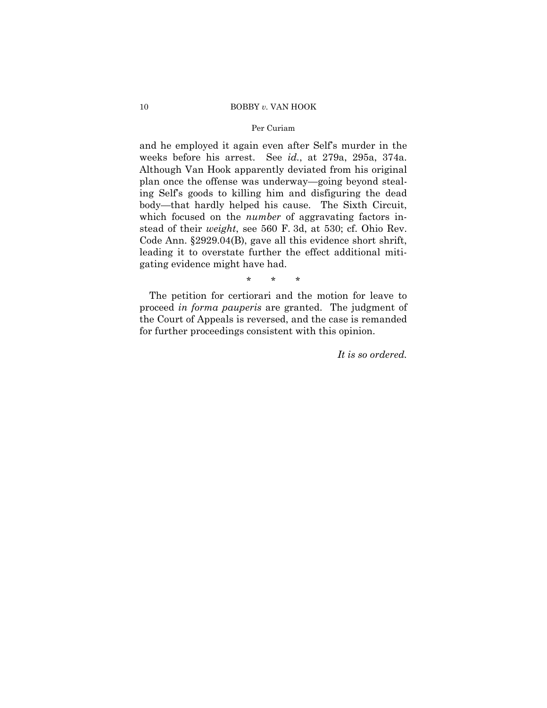#### 10 BOBBY *v.* VAN HOOK

## Per Curiam

and he employed it again even after Self's murder in the weeks before his arrest. See *id.*, at 279a, 295a, 374a. Although Van Hook apparently deviated from his original plan once the offense was underway—going beyond stealing Self's goods to killing him and disfiguring the dead body—that hardly helped his cause. The Sixth Circuit, which focused on the *number* of aggravating factors instead of their *weight*, see 560 F. 3d, at 530; cf. Ohio Rev. Code Ann. §2929.04(B), gave all this evidence short shrift, leading it to overstate further the effect additional mitigating evidence might have had.

\* \* \*

The petition for certiorari and the motion for leave to proceed *in forma pauperis* are granted. The judgment of the Court of Appeals is reversed, and the case is remanded for further proceedings consistent with this opinion.

*It is so ordered.*